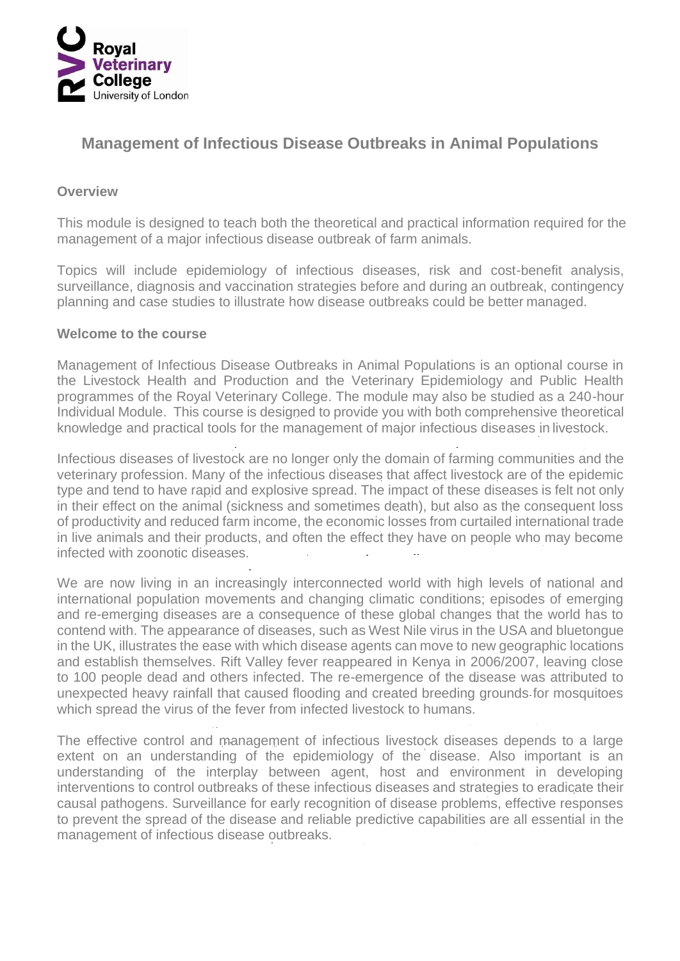

# **Management of Infectious Disease Outbreaks in Animal Populations**

#### **Overview**

This module is designed to teach both the theoretical and practical information required for the management of a major infectious disease outbreak of farm animals.

Topics will include epidemiology of infectious diseases, risk and cost-benefit analysis, surveillance, diagnosis and vaccination strategies before and during an outbreak, contingency planning and case studies to illustrate how disease outbreaks could be better managed.

#### **Welcome to the course**

Management of Infectious Disease Outbreaks in Animal Populations is an optional course in the Livestock Health and Production and the Veterinary Epidemiology and Public Health programmes of the Royal Veterinary College. The module may also be studied as a 240-hour Individual Module. This course is designed to provide you with both comprehensive theoretical knowledge and practical tools for the management of major infectious diseases in livestock.

Infectious diseases of livestock are no longer only the domain of farming communities and the veterinary profession. Many of the infectious diseases that affect livestock are of the epidemic type and tend to have rapid and explosive spread. The impact of these diseases is felt not only in their effect on the animal (sickness and sometimes death), but also as the consequent loss of productivity and reduced farm income, the economic losses from curtailed international trade in live animals and their products, and often the effect they have on people who may become infected with zoonotic diseases.

We are now living in an increasingly interconnected world with high levels of national and international population movements and changing climatic conditions; episodes of emerging and re-emerging diseases are a consequence of these global changes that the world has to contend with. The appearance of diseases, such as West Nile virus in the USA and bluetongue in the UK, illustrates the ease with which disease agents can move to new geographic locations and establish themselves. Rift Valley fever reappeared in Kenya in 2006/2007, leaving close to 100 people dead and others infected. The re-emergence of the disease was attributed to unexpected heavy rainfall that caused flooding and created breeding grounds for mosquitoes which spread the virus of the fever from infected livestock to humans.

The effective control and management of infectious livestock diseases depends to a large extent on an understanding of the epidemiology of the disease. Also important is an understanding of the interplay between agent, host and environment in developing interventions to control outbreaks of these infectious diseases and strategies to eradicate their causal pathogens. Surveillance for early recognition of disease problems, effective responses to prevent the spread of the disease and reliable predictive capabilities are all essential in the management of infectious disease outbreaks.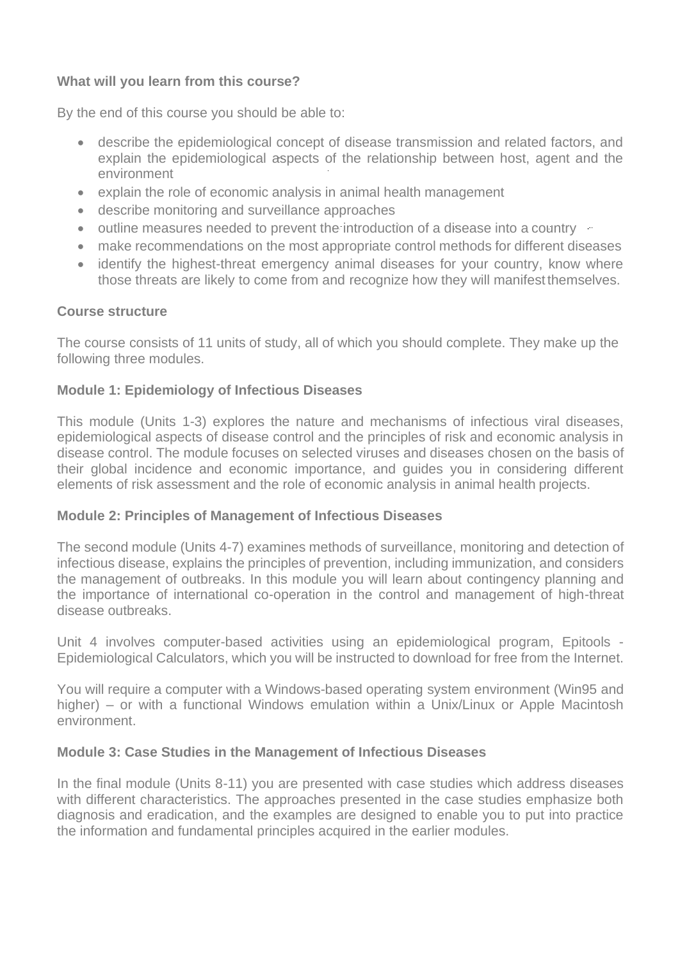# **What will you learn from this course?**

By the end of this course you should be able to:

- describe the epidemiological concept of disease transmission and related factors, and explain the epidemiological aspects of the relationship between host, agent and the environment
- explain the role of economic analysis in animal health management
- describe monitoring and surveillance approaches
- outline measures needed to prevent the introduction of a disease into a country
- make recommendations on the most appropriate control methods for different diseases
- identify the highest-threat emergency animal diseases for your country, know where those threats are likely to come from and recognize how they will manifest themselves.

# **Course structure**

The course consists of 11 units of study, all of which you should complete. They make up the following three modules.

# **Module 1: Epidemiology of Infectious Diseases**

This module (Units 1-3) explores the nature and mechanisms of infectious viral diseases, epidemiological aspects of disease control and the principles of risk and economic analysis in disease control. The module focuses on selected viruses and diseases chosen on the basis of their global incidence and economic importance, and guides you in considering different elements of risk assessment and the role of economic analysis in animal health projects.

# **Module 2: Principles of Management of Infectious Diseases**

The second module (Units 4-7) examines methods of surveillance, monitoring and detection of infectious disease, explains the principles of prevention, including immunization, and considers the management of outbreaks. In this module you will learn about contingency planning and the importance of international co-operation in the control and management of high-threat disease outbreaks.

Unit 4 involves computer-based activities using an epidemiological program, Epitools - Epidemiological Calculators, which you will be instructed to download for free from the Internet.

You will require a computer with a Windows-based operating system environment (Win95 and higher) – or with a functional Windows emulation within a Unix/Linux or Apple Macintosh environment.

# **Module 3: Case Studies in the Management of Infectious Diseases**

In the final module (Units 8-11) you are presented with case studies which address diseases with different characteristics. The approaches presented in the case studies emphasize both diagnosis and eradication, and the examples are designed to enable you to put into practice the information and fundamental principles acquired in the earlier modules.